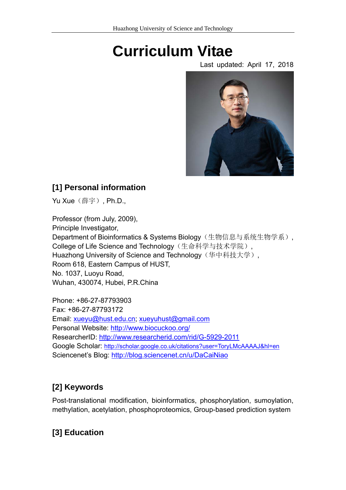# **Curriculum Vitae**

Last updated: April 17, 2018



## **[1] Personal information**

Yu Xue (薛宇), Ph.D.,

Professor (from July, 2009), Principle Investigator, Department of Bioinformatics & Systems Biology (生物信息与系统生物学系), College of Life Science and Technology(生命科学与技术学院), Huazhong University of Science and Technology(华中科技大学), Room 618, Eastern Campus of HUST, No. 1037, Luoyu Road, Wuhan, 430074, Hubei, P.R.China

Phone: +86-27-87793903 Fax: +86-27-87793172 Email: xueyu@hust.edu.cn; xueyuhust@gmail.com Personal Website: http://www.biocuckoo.org/ ResearcherID: http://www.researcherid.com/rid/G-5929-2011 Google Scholar: http://scholar.google.co.uk/citations?user=ToryLMcAAAAJ&hl=en Sciencenet's Blog: http://blog.sciencenet.cn/u/DaCaiNiao

# **[2] Keywords**

Post-translational modification, bioinformatics, phosphorylation, sumoylation, methylation, acetylation, phosphoproteomics, Group-based prediction system

# **[3] Education**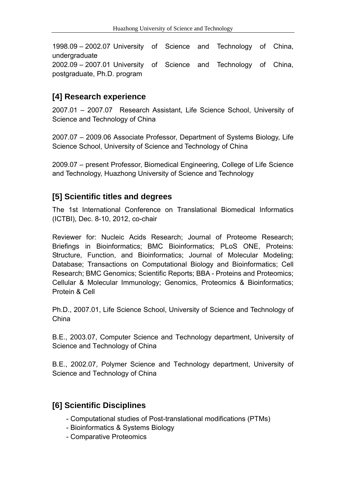1998.09 – 2002.07 University of Science and Technology of China, undergraduate 2002.09 – 2007.01 University of Science and Technology of China, postgraduate, Ph.D. program

## **[4] Research experience**

2007.01 – 2007.07 Research Assistant, Life Science School, University of Science and Technology of China

2007.07 – 2009.06 Associate Professor, Department of Systems Biology, Life Science School, University of Science and Technology of China

2009.07 – present Professor, Biomedical Engineering, College of Life Science and Technology, Huazhong University of Science and Technology

## **[5] Scientific titles and degrees**

The 1st International Conference on Translational Biomedical Informatics (ICTBI), Dec. 8-10, 2012, co-chair

Reviewer for: Nucleic Acids Research; Journal of Proteome Research; Briefings in Bioinformatics; BMC Bioinformatics; PLoS ONE, Proteins: Structure, Function, and Bioinformatics; Journal of Molecular Modeling; Database; Transactions on Computational Biology and Bioinformatics; Cell Research; BMC Genomics; Scientific Reports; BBA - Proteins and Proteomics; Cellular & Molecular Immunology; Genomics, Proteomics & Bioinformatics; Protein & Cell

Ph.D., 2007.01, Life Science School, University of Science and Technology of China

B.E., 2003.07, Computer Science and Technology department, University of Science and Technology of China

B.E., 2002.07, Polymer Science and Technology department, University of Science and Technology of China

#### **[6] Scientific Disciplines**

- Computational studies of Post-translational modifications (PTMs)
- Bioinformatics & Systems Biology
- Comparative Proteomics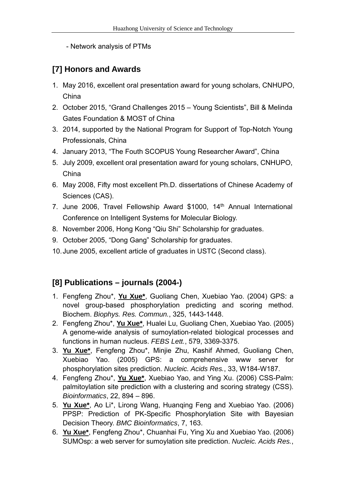- Network analysis of PTMs

# **[7] Honors and Awards**

- 1. May 2016, excellent oral presentation award for young scholars, CNHUPO, China
- 2. October 2015, "Grand Challenges 2015 Young Scientists", Bill & Melinda Gates Foundation & MOST of China
- 3. 2014, supported by the National Program for Support of Top-Notch Young Professionals, China
- 4. January 2013, "The Fouth SCOPUS Young Researcher Award", China
- 5. July 2009, excellent oral presentation award for young scholars, CNHUPO, China
- 6. May 2008, Fifty most excellent Ph.D. dissertations of Chinese Academy of Sciences (CAS).
- 7. June 2006, Travel Fellowship Award \$1000, 14th Annual International Conference on Intelligent Systems for Molecular Biology.
- 8. November 2006, Hong Kong "Qiu Shi" Scholarship for graduates.
- 9. October 2005, "Dong Gang" Scholarship for graduates.
- 10. June 2005, excellent article of graduates in USTC (Second class).

## **[8] Publications – journals (2004-)**

- 1. Fengfeng Zhou\*, **Yu Xue\***, Guoliang Chen, Xuebiao Yao. (2004) GPS: a novel group-based phosphorylation predicting and scoring method. Biochem. *Biophys. Res. Commun.*, 325, 1443-1448.
- 2. Fengfeng Zhou\*, **Yu Xue\***, Hualei Lu, Guoliang Chen, Xuebiao Yao. (2005) A genome-wide analysis of sumoylation-related biological processes and functions in human nucleus. *FEBS Lett.*, 579, 3369-3375.
- 3. **Yu Xue\***, Fengfeng Zhou\*, Minjie Zhu, Kashif Ahmed, Guoliang Chen, Xuebiao Yao. (2005) GPS: a comprehensive www server for phosphorylation sites prediction. *Nucleic. Acids Res.*, 33, W184-W187.
- 4. Fengfeng Zhou\*, **Yu Xue\***, Xuebiao Yao, and Ying Xu. (2006) CSS-Palm: palmitoylation site prediction with a clustering and scoring strategy (CSS). *Bioinformatics*, 22, 894 – 896.
- 5. **Yu Xue\***, Ao Li\*, Lirong Wang, Huanqing Feng and Xuebiao Yao. (2006) PPSP: Prediction of PK-Specific Phosphorylation Site with Bayesian Decision Theory. *BMC Bioinformatics*, 7, 163.
- 6. **Yu Xue\***, Fengfeng Zhou\*, Chuanhai Fu, Ying Xu and Xuebiao Yao. (2006) SUMOsp: a web server for sumoylation site prediction. *Nucleic. Acids Res.*,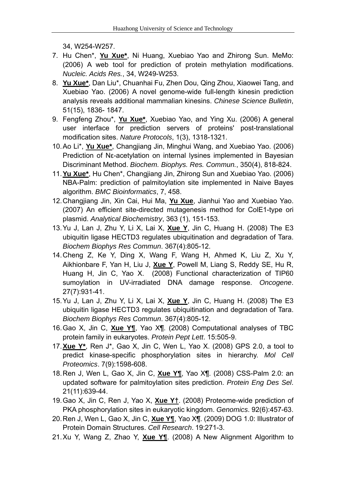34, W254-W257.

- 7. Hu Chen\*, **Yu Xue\***, Ni Huang, Xuebiao Yao and Zhirong Sun. MeMo: (2006) A web tool for prediction of protein methylation modifications. *Nucleic. Acids Res.*, 34, W249-W253.
- 8. **Yu Xue\***, Dan Liu\*, Chuanhai Fu, Zhen Dou, Qing Zhou, Xiaowei Tang, and Xuebiao Yao. (2006) A novel genome-wide full-length kinesin prediction analysis reveals additional mammalian kinesins. *Chinese Science Bulletin*, 51(15), 1836- 1847.
- 9. Fengfeng Zhou\*, **Yu Xue\***, Xuebiao Yao, and Ying Xu. (2006) A general user interface for prediction servers of proteins' post-translational modification sites. *Nature Protocols*, 1(3), 1318-1321.
- 10. Ao Li\*, **Yu Xue\***, Changjiang Jin, Minghui Wang, and Xuebiao Yao. (2006) Prediction of Nε-acetylation on internal lysines implemented in Bayesian Discriminant Method. *Biochem. Biophys. Res. Commun.*, 350(4), 818-824.
- 11. **Yu Xue\***, Hu Chen\*, Changjiang Jin, Zhirong Sun and Xuebiao Yao. (2006) NBA-Palm: prediction of palmitoylation site implemented in Naive Bayes algorithm. *BMC Bioinformatics*, 7, 458.
- 12. Changjiang Jin, Xin Cai, Hui Ma, **Yu Xue**, Jianhui Yao and Xuebiao Yao. (2007) An efficient site-directed mutagenesis method for ColE1-type ori plasmid. *Analytical Biochemistry*, 363 (1), 151-153.
- 13. Yu J, Lan J, Zhu Y, Li X, Lai X, **Xue Y**, Jin C, Huang H. (2008) The E3 ubiquitin ligase HECTD3 regulates ubiquitination and degradation of Tara. *Biochem Biophys Res Commun*. 367(4):805-12.
- 14. Cheng Z, Ke Y, Ding X, Wang F, Wang H, Ahmed K, Liu Z, Xu Y, Aikhionbare F, Yan H, Liu J, **Xue Y**, Powell M, Liang S, Reddy SE, Hu R, Huang H, Jin C, Yao X. (2008) Functional characterization of TIP60 sumoylation in UV-irradiated DNA damage response. *Oncogene*. 27(7):931-41.
- 15. Yu J, Lan J, Zhu Y, Li X, Lai X, **Xue Y**, Jin C, Huang H. (2008) The E3 ubiquitin ligase HECTD3 regulates ubiquitination and degradation of Tara. *Biochem Biophys Res Commun*. 367(4):805-12.
- 16. Gao X, Jin C, **Xue Y¶**, Yao X¶. (2008) Computational analyses of TBC protein family in eukaryotes. *Protein Pept Lett*. 15:505-9.
- 17. **Xue Y\***, Ren J\*, Gao X, Jin C, Wen L, Yao X. (2008) GPS 2.0, a tool to predict kinase-specific phosphorylation sites in hierarchy. *Mol Cell Proteomics*. 7(9):1598-608.
- 18. Ren J, Wen L, Gao X, Jin C, **Xue Y¶**, Yao X¶. (2008) CSS-Palm 2.0: an updated software for palmitoylation sites prediction. *Protein Eng Des Sel*. 21(11):639-44.
- 19. Gao X, Jin C, Ren J, Yao X, **Xue Y†**. (2008) Proteome-wide prediction of PKA phosphorylation sites in eukaryotic kingdom. *Genomics*. 92(6):457-63.
- 20. Ren J, Wen L, Gao X, Jin C, **Xue Y¶**, Yao X¶. (2009) DOG 1.0: Illustrator of Protein Domain Structures. *Cell Research*. 19:271-3.
- 21. Xu Y, Wang Z, Zhao Y, **Xue Y¶**. (2008) A New Alignment Algorithm to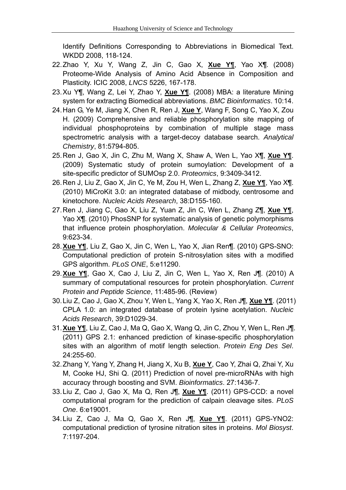Identify Definitions Corresponding to Abbreviations in Biomedical Text. WKDD 2008, 118-124.

- 22. Zhao Y, Xu Y, Wang Z, Jin C, Gao X, **Xue Y¶**, Yao X¶. (2008) Proteome-Wide Analysis of Amino Acid Absence in Composition and Plasticity. ICIC 2008, *LNCS* 5226, 167-178.
- 23. Xu Y¶, Wang Z, Lei Y, Zhao Y, **Xue Y¶**. (2008) MBA: a literature Mining system for extracting Biomedical abbreviations. *BMC Bioinformatics*. 10:14.
- 24. Han G, Ye M, Jiang X, Chen R, Ren J, **Xue Y**, Wang F, Song C, Yao X, Zou H. (2009) Comprehensive and reliable phosphorylation site mapping of individual phosphoproteins by combination of multiple stage mass spectrometric analysis with a target-decoy database search. *Analytical Chemistry*, 81:5794-805.
- 25. Ren J, Gao X, Jin C, Zhu M, Wang X, Shaw A, Wen L, Yao X¶, **Xue Y¶**. (2009) Systematic study of protein sumoylation: Development of a site-specific predictor of SUMOsp 2.0. *Proteomics*, 9:3409-3412.
- 26. Ren J, Liu Z, Gao X, Jin C, Ye M, Zou H, Wen L, Zhang Z, **Xue Y¶**, Yao X¶. (2010) MiCroKit 3.0: an integrated database of midbody, centrosome and kinetochore. *Nucleic Acids Research*, 38:D155-160.
- 27. Ren J, Jiang C, Gao X, Liu Z, Yuan Z, Jin C, Wen L, Zhang Z¶, **Xue Y¶**, Yao X¶. (2010) PhosSNP for systematic analysis of genetic polymorphisms that influence protein phosphorylation. *Molecular & Cellular Proteomics*, 9:623-34.
- 28. **Xue Y¶**, Liu Z, Gao X, Jin C, Wen L, Yao X, Jian Ren¶. (2010) GPS-SNO: Computational prediction of protein S-nitrosylation sites with a modified GPS algorithm. *PLoS ONE*, 5:e11290.
- 29. **Xue Y¶**, Gao X, Cao J, Liu Z, Jin C, Wen L, Yao X, Ren J¶. (2010) A summary of computational resources for protein phosphorylation. *Current Protein and Peptide Science*, 11:485-96. (Review)
- 30. Liu Z, Cao J, Gao X, Zhou Y, Wen L, Yang X, Yao X, Ren J¶, **Xue Y¶**. (2011) CPLA 1.0: an integrated database of protein lysine acetylation. *Nucleic Acids Research*, 39:D1029-34.
- 31. **Xue Y¶**, Liu Z, Cao J, Ma Q, Gao X, Wang Q, Jin C, Zhou Y, Wen L, Ren J¶. (2011) GPS 2.1: enhanced prediction of kinase-specific phosphorylation sites with an algorithm of motif length selection. *Protein Eng Des Sel*. 24:255-60.
- 32. Zhang Y, Yang Y, Zhang H, Jiang X, Xu B, **Xue Y**, Cao Y, Zhai Q, Zhai Y, Xu M, Cooke HJ, Shi Q. (2011) Prediction of novel pre-microRNAs with high accuracy through boosting and SVM. *Bioinformatics*. 27:1436-7.
- 33. Liu Z, Cao J, Gao X, Ma Q, Ren J¶, **Xue Y¶**. (2011) GPS-CCD: a novel computational program for the prediction of calpain cleavage sites. *PLoS One*. 6:e19001.
- 34. Liu Z, Cao J, Ma Q, Gao X, Ren J¶, **Xue Y¶**. (2011) GPS-YNO2: computational prediction of tyrosine nitration sites in proteins. *Mol Biosyst*. 7:1197-204.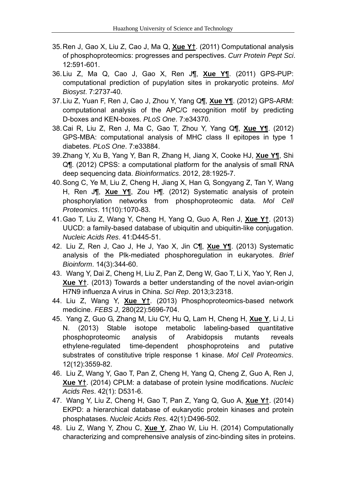- 35. Ren J, Gao X, Liu Z, Cao J, Ma Q, **Xue Y†**. (2011) Computational analysis of phosphoproteomics: progresses and perspectives. *Curr Protein Pept Sci*. 12:591-601.
- 36. Liu Z, Ma Q, Cao J, Gao X, Ren J¶, **Xue Y¶**. (2011) GPS-PUP: computational prediction of pupylation sites in prokaryotic proteins. *Mol Biosyst*. 7:2737-40.
- 37. Liu Z, Yuan F, Ren J, Cao J, Zhou Y, Yang Q¶, **Xue Y¶**. (2012) GPS-ARM: computational analysis of the APC/C recognition motif by predicting D-boxes and KEN-boxes. *PLoS One*. 7:e34370.
- 38. Cai R, Liu Z, Ren J, Ma C, Gao T, Zhou Y, Yang Q¶, **Xue Y¶**. (2012) GPS-MBA: computational analysis of MHC class II epitopes in type 1 diabetes. *PLoS One*. 7:e33884.
- 39. Zhang Y, Xu B, Yang Y, Ban R, Zhang H, Jiang X, Cooke HJ, **Xue Y¶**, Shi Q¶. (2012) CPSS: a computational platform for the analysis of small RNA deep sequencing data. *Bioinformatics*. 2012, 28:1925-7.
- 40. Song C, Ye M, Liu Z, Cheng H, Jiang X, Han G, Songyang Z, Tan Y, Wang H, Ren J¶, **Xue Y¶**, Zou H¶. (2012) Systematic analysis of protein phosphorylation networks from phosphoproteomic data. *Mol Cell Proteomics*. 11(10):1070-83.
- 41. Gao T, Liu Z, Wang Y, Cheng H, Yang Q, Guo A, Ren J, **Xue Y†**. (2013) UUCD: a family-based database of ubiquitin and ubiquitin-like conjugation. *Nucleic Acids Res*. 41:D445-51.
- 42. Liu Z, Ren J, Cao J, He J, Yao X, Jin C¶, **Xue Y¶**. (2013) Systematic analysis of the Plk-mediated phosphoregulation in eukaryotes. *Brief Bioinform*. 14(3):344-60.
- 43. Wang Y, Dai Z, Cheng H, Liu Z, Pan Z, Deng W, Gao T, Li X, Yao Y, Ren J, **Xue Y†**. (2013) Towards a better understanding of the novel avian-origin H7N9 influenza A virus in China. *Sci Rep*. 2013;3:2318.
- 44. Liu Z, Wang Y, **Xue Y†**. (2013) Phosphoproteomics-based network medicine. *FEBS J*, 280(22):5696-704.
- 45. Yang Z, Guo G, Zhang M, Liu CY, Hu Q, Lam H, Cheng H, **Xue Y**, Li J, Li N. (2013) Stable isotope metabolic labeling-based quantitative phosphoproteomic analysis of Arabidopsis mutants reveals ethylene-regulated time-dependent phosphoproteins and putative substrates of constitutive triple response 1 kinase. *Mol Cell Proteomics*. 12(12):3559-82.
- 46. Liu Z, Wang Y, Gao T, Pan Z, Cheng H, Yang Q, Cheng Z, Guo A, Ren J, **Xue Y†**. (2014) CPLM: a database of protein lysine modifications. *Nucleic Acids Res*. 42(1): D531-6.
- 47. Wang Y, Liu Z, Cheng H, Gao T, Pan Z, Yang Q, Guo A, **Xue Y†**. (2014) EKPD: a hierarchical database of eukaryotic protein kinases and protein phosphatases. *Nucleic Acids Res*. 42(1):D496-502.
- 48. Liu Z, Wang Y, Zhou C, **Xue Y**, Zhao W, Liu H. (2014) Computationally characterizing and comprehensive analysis of zinc-binding sites in proteins.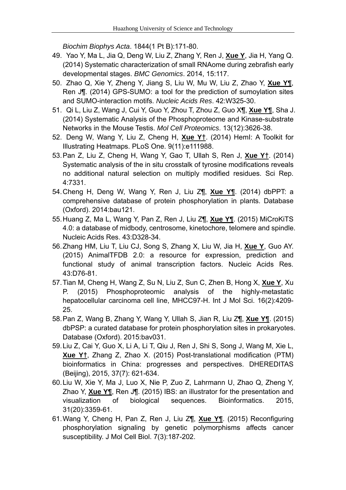*Biochim Biophys Acta*. 1844(1 Pt B):171-80.

- 49. Yao Y, Ma L, Jia Q, Deng W, Liu Z, Zhang Y, Ren J, **Xue Y**, Jia H, Yang Q. (2014) Systematic characterization of small RNAome during zebrafish early developmental stages. *BMC Genomics*. 2014, 15:117.
- 50. Zhao Q, Xie Y, Zheng Y, Jiang S, Liu W, Mu W, Liu Z, Zhao Y, **Xue Y¶**, Ren J¶. (2014) GPS-SUMO: a tool for the prediction of sumoylation sites and SUMO-interaction motifs. *Nucleic Acids Res*. 42:W325-30.
- 51. Qi L, Liu Z, Wang J, Cui Y, Guo Y, Zhou T, Zhou Z, Guo X¶, **Xue Y¶**, Sha J. (2014) Systematic Analysis of the Phosphoproteome and Kinase-substrate Networks in the Mouse Testis. *Mol Cell Proteomics*. 13(12):3626-38.
- 52. Deng W, Wang Y, Liu Z, Cheng H, **Xue Y†**. (2014) HemI: A Toolkit for Illustrating Heatmaps. PLoS One. 9(11):e111988.
- 53. Pan Z, Liu Z, Cheng H, Wang Y, Gao T, Ullah S, Ren J, **Xue Y†**. (2014) Systematic analysis of the in situ crosstalk of tyrosine modifications reveals no additional natural selection on multiply modified residues. Sci Rep. 4:7331.
- 54. Cheng H, Deng W, Wang Y, Ren J, Liu Z¶, **Xue Y¶**. (2014) dbPPT: a comprehensive database of protein phosphorylation in plants. Database (Oxford). 2014:bau121.
- 55. Huang Z, Ma L, Wang Y, Pan Z, Ren J, Liu Z¶, **Xue Y¶**. (2015) MiCroKiTS 4.0: a database of midbody, centrosome, kinetochore, telomere and spindle. Nucleic Acids Res. 43:D328-34.
- 56. Zhang HM, Liu T, Liu CJ, Song S, Zhang X, Liu W, Jia H, **Xue Y**, Guo AY. (2015) AnimalTFDB 2.0: a resource for expression, prediction and functional study of animal transcription factors. Nucleic Acids Res. 43:D76-81.
- 57. Tian M, Cheng H, Wang Z, Su N, Liu Z, Sun C, Zhen B, Hong X, **Xue Y**, Xu P. (2015) Phosphoproteomic analysis of the highly-metastatic hepatocellular carcinoma cell line, MHCC97-H. Int J Mol Sci. 16(2):4209- 25.
- 58. Pan Z, Wang B, Zhang Y, Wang Y, Ullah S, Jian R, Liu Z¶, **Xue Y¶**. (2015) dbPSP: a curated database for protein phosphorylation sites in prokaryotes. Database (Oxford). 2015:bav031.
- 59. Liu Z, Cai Y, Guo X, Li A, Li T, Qiu J, Ren J, Shi S, Song J, Wang M, Xie L, **Xue Y†**, Zhang Z, Zhao X. (2015) Post-translational modification (PTM) bioinformatics in China: progresses and perspectives. DHEREDITAS (Beijing), 2015, 37(7): 621-634.
- 60. Liu W, Xie Y, Ma J, Luo X, Nie P, Zuo Z, Lahrmann U, Zhao Q, Zheng Y, Zhao Y, **Xue Y¶**, Ren J¶. (2015) IBS: an illustrator for the presentation and visualization of biological sequences. Bioinformatics. 2015, 31(20):3359-61.
- 61. Wang Y, Cheng H, Pan Z, Ren J, Liu Z¶, **Xue Y¶**. (2015) Reconfiguring phosphorylation signaling by genetic polymorphisms affects cancer susceptibility. J Mol Cell Biol. 7(3):187-202.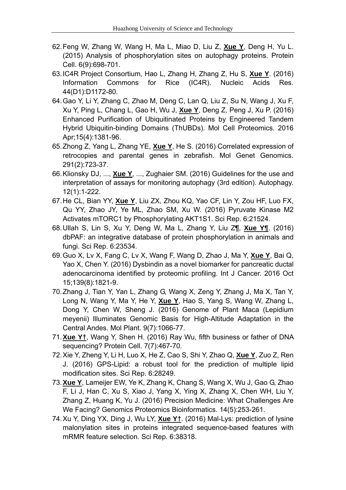- 62. Feng W, Zhang W, Wang H, Ma L, Miao D, Liu Z, **Xue Y**, Deng H, Yu L. (2015) Analysis of phosphorylation sites on autophagy proteins. Protein Cell. 6(9):698-701.
- 63. IC4R Project Consortium, Hao L, Zhang H, Zhang Z, Hu S, **Xue Y**. (2016) Information Commons for Rice (IC4R). Nucleic Acids Res. 44(D1):D1172-80.
- 64. Gao Y, Li Y, Zhang C, Zhao M, Deng C, Lan Q, Liu Z, Su N, Wang J, Xu F, Xu Y, Ping L, Chang L, Gao H, Wu J, **Xue Y**, Deng Z, Peng J, Xu P. (2016) Enhanced Purification of Ubiquitinated Proteins by Engineered Tandem Hybrid Ubiquitin-binding Domains (ThUBDs). Mol Cell Proteomics. 2016 Apr;15(4):1381-96.
- 65. Zhong Z, Yang L, Zhang YE, **Xue Y**, He S. (2016) Correlated expression of retrocopies and parental genes in zebrafish. Mol Genet Genomics. 291(2):723-37.
- 66. Klionsky DJ, ..., **Xue Y**, ..., Zughaier SM. (2016) Guidelines for the use and interpretation of assays for monitoring autophagy (3rd edition). Autophagy. 12(1):1-222.
- 67. He CL, Bian YY, **Xue Y**, Liu ZX, Zhou KQ, Yao CF, Lin Y, Zou HF, Luo FX, Qu YY, Zhao JY, Ye ML, Zhao SM, Xu W. (2016) Pyruvate Kinase M2 Activates mTORC1 by Phosphorylating AKT1S1. Sci Rep. 6:21524.
- 68. Ullah S, Lin S, Xu Y, Deng W, Ma L, Zhang Y, Liu Z¶, **Xue Y¶**. (2016) dbPAF: an integrative database of protein phosphorylation in animals and fungi. Sci Rep. 6:23534.
- 69. Guo X, Lv X, Fang C, Lv X, Wang F, Wang D, Zhao J, Ma Y, **Xue Y**, Bai Q, Yao X, Chen Y. (2016) Dysbindin as a novel biomarker for pancreatic ductal adenocarcinoma identified by proteomic profiling. Int J Cancer. 2016 Oct 15;139(8):1821-9.
- 70. Zhang J, Tian Y, Yan L, Zhang G, Wang X, Zeng Y, Zhang J, Ma X, Tan Y, Long N, Wang Y, Ma Y, He Y, **Xue Y**, Hao S, Yang S, Wang W, Zhang L, Dong Y, Chen W, Sheng J. (2016) Genome of Plant Maca (Lepidium meyenii) Illuminates Genomic Basis for High-Altitude Adaptation in the Central Andes. Mol Plant. 9(7):1066-77.
- 71. **Xue Y†**, Wang Y, Shen H. (2016) Ray Wu, fifth business or father of DNA sequencing? Protein Cell. 7(7):467-70.
- 72. Xie Y, Zheng Y, Li H, Luo X, He Z, Cao S, Shi Y, Zhao Q, **Xue Y**, Zuo Z, Ren J. (2016) GPS-Lipid: a robust tool for the prediction of multiple lipid modification sites. Sci Rep. 6:28249.
- 73. **Xue Y**, Lameijer EW, Ye K, Zhang K, Chang S, Wang X, Wu J, Gao G, Zhao F, Li J, Han C, Xu S, Xiao J, Yang X, Ying X, Zhang X, Chen WH, Liu Y, Zhang Z, Huang K, Yu J. (2016) Precision Medicine: What Challenges Are We Facing? Genomics Proteomics Bioinformatics. 14(5):253-261.
- 74. Xu Y, Ding YX, Ding J, Wu LY, **Xue Y†**. (2016) Mal-Lys: prediction of lysine malonylation sites in proteins integrated sequence-based features with mRMR feature selection. Sci Rep. 6:38318.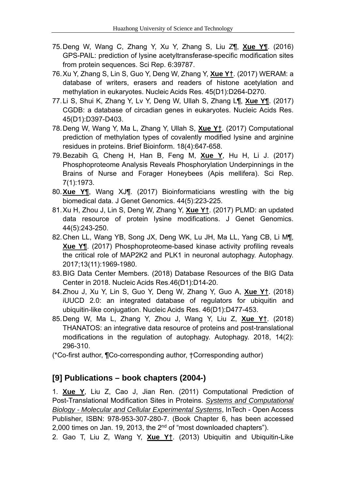- 75. Deng W, Wang C, Zhang Y, Xu Y, Zhang S, Liu Z¶, **Xue Y¶**. (2016) GPS-PAIL: prediction of lysine acetyltransferase-specific modification sites from protein sequences. Sci Rep. 6:39787.
- 76. Xu Y, Zhang S, Lin S, Guo Y, Deng W, Zhang Y, **Xue Y†**. (2017) WERAM: a database of writers, erasers and readers of histone acetylation and methylation in eukaryotes. Nucleic Acids Res. 45(D1):D264-D270.
- 77. Li S, Shui K, Zhang Y, Lv Y, Deng W, Ullah S, Zhang L¶, **Xue Y¶**. (2017) CGDB: a database of circadian genes in eukaryotes. Nucleic Acids Res. 45(D1):D397-D403.
- 78. Deng W, Wang Y, Ma L, Zhang Y, Ullah S, **Xue Y†**. (2017) Computational prediction of methylation types of covalently modified lysine and arginine residues in proteins. Brief Bioinform. 18(4):647-658.
- 79. Bezabih G, Cheng H, Han B, Feng M, **Xue Y**, Hu H, Li J. (2017) Phosphoproteome Analysis Reveals Phosphorylation Underpinnings in the Brains of Nurse and Forager Honeybees (Apis mellifera). Sci Rep. 7(1):1973.
- 80. **Xue Y¶**, Wang XJ¶. (2017) Bioinformaticians wrestling with the big biomedical data. J Genet Genomics. 44(5):223-225.
- 81. Xu H, Zhou J, Lin S, Deng W, Zhang Y, **Xue Y†**. (2017) PLMD: an updated data resource of protein lysine modifications. J Genet Genomics. 44(5):243-250.
- 82. Chen LL, Wang YB, Song JX, Deng WK, Lu JH, Ma LL, Yang CB, Li M¶, **Xue Y¶**. (2017) Phosphoproteome-based kinase activity profiling reveals the critical role of MAP2K2 and PLK1 in neuronal autophagy. Autophagy. 2017;13(11):1969-1980.
- 83. BIG Data Center Members. (2018) Database Resources of the BIG Data Center in 2018. Nucleic Acids Res.46(D1):D14-20.
- 84. Zhou J, Xu Y, Lin S, Guo Y, Deng W, Zhang Y, Guo A, **Xue Y†**. (2018) iUUCD 2.0: an integrated database of regulators for ubiquitin and ubiquitin-like conjugation. Nucleic Acids Res. 46(D1):D477-453.
- 85. Deng W, Ma L, Zhang Y, Zhou J, Wang Y, Liu Z, **Xue Y†**. (2018) THANATOS: an integrative data resource of proteins and post-translational modifications in the regulation of autophagy. Autophagy. 2018, 14(2): 296-310.
- (\*Co-first author, ¶Co-corresponding author, †Corresponding author)

## **[9] Publications – book chapters (2004-)**

1. **Xue Y**, Liu Z, Cao J, Jian Ren. (2011) Computational Prediction of Post-Translational Modification Sites in Proteins. *Systems and Computational Biology - Molecular and Cellular Experimental Systems*, InTech - Open Access Publisher, ISBN: 978-953-307-280-7. (Book Chapter 6, has been accessed 2,000 times on Jan. 19, 2013, the  $2<sup>nd</sup>$  of "most downloaded chapters"). 2. Gao T, Liu Z, Wang Y, **Xue Y†**. (2013) Ubiquitin and Ubiquitin-Like